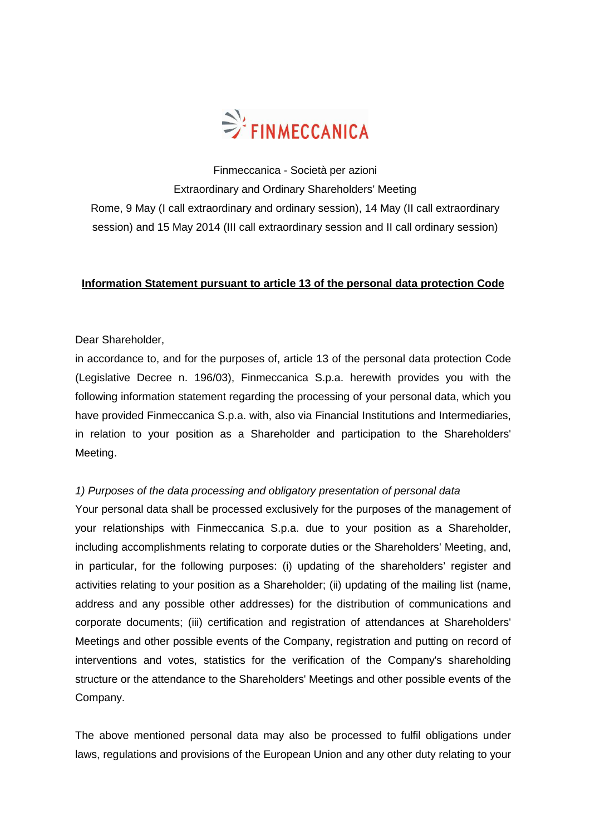

Finmeccanica - Società per azioni Extraordinary and Ordinary Shareholders' Meeting Rome, 9 May (I call extraordinary and ordinary session), 14 May (II call extraordinary session) and 15 May 2014 (III call extraordinary session and II call ordinary session)

## **Information Statement pursuant to article 13 of the personal data protection Code**

### Dear Shareholder,

in accordance to, and for the purposes of, article 13 of the personal data protection Code (Legislative Decree n. 196/03), Finmeccanica S.p.a. herewith provides you with the following information statement regarding the processing of your personal data, which you have provided Finmeccanica S.p.a. with, also via Financial Institutions and Intermediaries, in relation to your position as a Shareholder and participation to the Shareholders' Meeting.

### 1) Purposes of the data processing and obligatory presentation of personal data

Your personal data shall be processed exclusively for the purposes of the management of your relationships with Finmeccanica S.p.a. due to your position as a Shareholder, including accomplishments relating to corporate duties or the Shareholders' Meeting, and, in particular, for the following purposes: (i) updating of the shareholders' register and activities relating to your position as a Shareholder; (ii) updating of the mailing list (name, address and any possible other addresses) for the distribution of communications and corporate documents; (iii) certification and registration of attendances at Shareholders' Meetings and other possible events of the Company, registration and putting on record of interventions and votes, statistics for the verification of the Company's shareholding structure or the attendance to the Shareholders' Meetings and other possible events of the Company.

The above mentioned personal data may also be processed to fulfil obligations under laws, regulations and provisions of the European Union and any other duty relating to your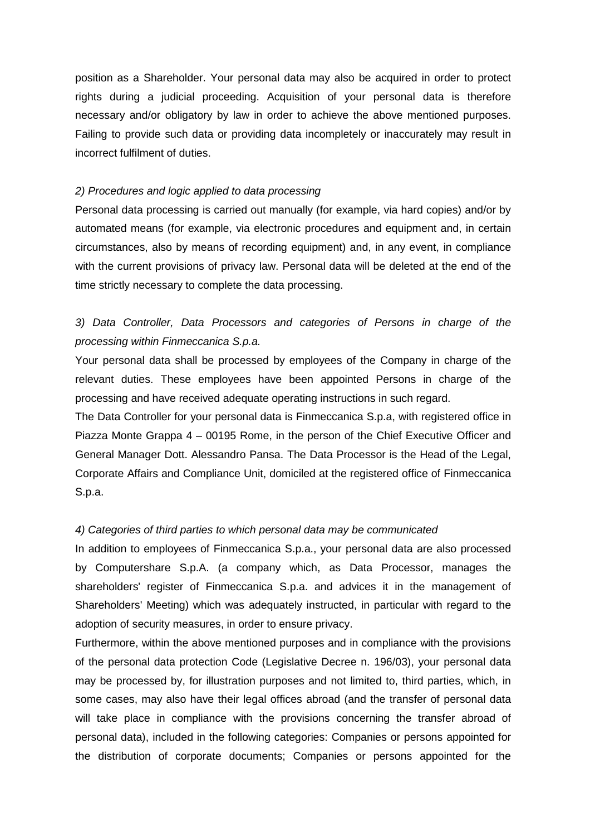position as a Shareholder. Your personal data may also be acquired in order to protect rights during a judicial proceeding. Acquisition of your personal data is therefore necessary and/or obligatory by law in order to achieve the above mentioned purposes. Failing to provide such data or providing data incompletely or inaccurately may result in incorrect fulfilment of duties.

### 2) Procedures and logic applied to data processing

Personal data processing is carried out manually (for example, via hard copies) and/or by automated means (for example, via electronic procedures and equipment and, in certain circumstances, also by means of recording equipment) and, in any event, in compliance with the current provisions of privacy law. Personal data will be deleted at the end of the time strictly necessary to complete the data processing.

## 3) Data Controller, Data Processors and categories of Persons in charge of the processing within Finmeccanica S.p.a.

Your personal data shall be processed by employees of the Company in charge of the relevant duties. These employees have been appointed Persons in charge of the processing and have received adequate operating instructions in such regard.

The Data Controller for your personal data is Finmeccanica S.p.a, with registered office in Piazza Monte Grappa 4 – 00195 Rome, in the person of the Chief Executive Officer and General Manager Dott. Alessandro Pansa. The Data Processor is the Head of the Legal, Corporate Affairs and Compliance Unit, domiciled at the registered office of Finmeccanica S.p.a.

### 4) Categories of third parties to which personal data may be communicated

In addition to employees of Finmeccanica S.p.a., your personal data are also processed by Computershare S.p.A. (a company which, as Data Processor, manages the shareholders' register of Finmeccanica S.p.a. and advices it in the management of Shareholders' Meeting) which was adequately instructed, in particular with regard to the adoption of security measures, in order to ensure privacy.

Furthermore, within the above mentioned purposes and in compliance with the provisions of the personal data protection Code (Legislative Decree n. 196/03), your personal data may be processed by, for illustration purposes and not limited to, third parties, which, in some cases, may also have their legal offices abroad (and the transfer of personal data will take place in compliance with the provisions concerning the transfer abroad of personal data), included in the following categories: Companies or persons appointed for the distribution of corporate documents; Companies or persons appointed for the